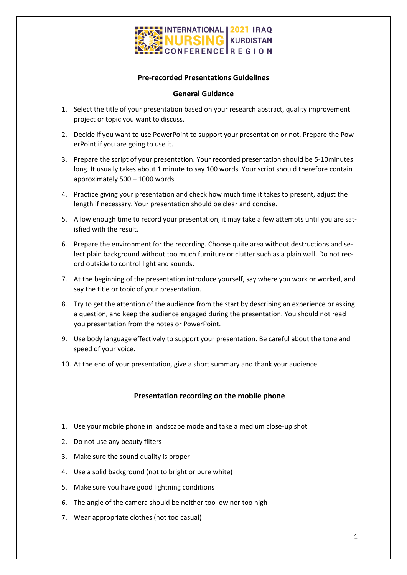

### **Pre-recorded Presentations Guidelines**

#### **General Guidance**

- 1. Select the title of your presentation based on your research abstract, quality improvement project or topic you want to discuss.
- 2. Decide if you want to use PowerPoint to support your presentation or not. Prepare the PowerPoint if you are going to use it.
- 3. Prepare the script of your presentation. Your recorded presentation should be 5-10minutes long. It usually takes about 1 minute to say 100 words. Your script should therefore contain approximately 500 – 1000 words.
- 4. Practice giving your presentation and check how much time it takes to present, adjust the length if necessary. Your presentation should be clear and concise.
- 5. Allow enough time to record your presentation, it may take a few attempts until you are satisfied with the result.
- 6. Prepare the environment for the recording. Choose quite area without destructions and select plain background without too much furniture or clutter such as a plain wall. Do not record outside to control light and sounds.
- 7. At the beginning of the presentation introduce yourself, say where you work or worked, and say the title or topic of your presentation.
- 8. Try to get the attention of the audience from the start by describing an experience or asking a question, and keep the audience engaged during the presentation. You should not read you presentation from the notes or PowerPoint.
- 9. Use body language effectively to support your presentation. Be careful about the tone and speed of your voice.
- 10. At the end of your presentation, give a short summary and thank your audience.

#### **Presentation recording on the mobile phone**

- 1. Use your mobile phone in landscape mode and take a medium close-up shot
- 2. Do not use any beauty filters
- 3. Make sure the sound quality is proper
- 4. Use a solid background (not to bright or pure white)
- 5. Make sure you have good lightning conditions
- 6. The angle of the camera should be neither too low nor too high
- 7. Wear appropriate clothes (not too casual)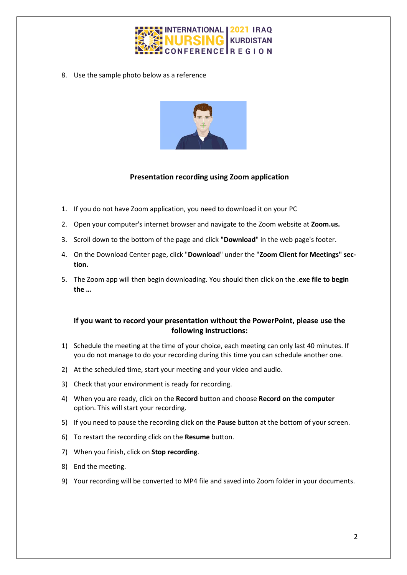

8. Use the sample photo below as a reference



# **Presentation recording using Zoom application**

- 1. If you do not have Zoom application, you need to download it on your PC
- 2. Open your computer's internet browser and navigate to the Zoom website at **Zoom.us.**
- 3. Scroll down to the bottom of the page and click **"Download**" in the web page's footer.
- 4. On the Download Center page, click "**Download**" under the "**Zoom Client for Meetings" section.**
- 5. The Zoom app will then begin downloading. You should then click on the .**exe file to begin the …**

# **If you want to record your presentation without the PowerPoint, please use the following instructions:**

- 1) Schedule the meeting at the time of your choice, each meeting can only last 40 minutes. If you do not manage to do your recording during this time you can schedule another one.
- 2) At the scheduled time, start your meeting and your video and audio.
- 3) Check that your environment is ready for recording.
- 4) When you are ready, click on the **Record** button and choose **Record on the computer** option. This will start your recording.
- 5) If you need to pause the recording click on the **Pause** button at the bottom of your screen.
- 6) To restart the recording click on the **Resume** button.
- 7) When you finish, click on **Stop recording**.
- 8) End the meeting.
- 9) Your recording will be converted to MP4 file and saved into Zoom folder in your documents.